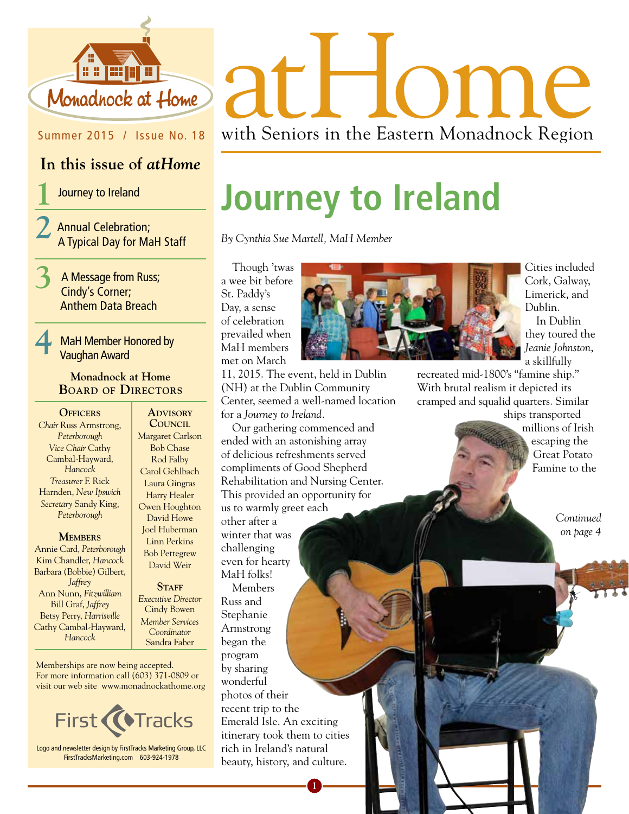

## Summer 2015 / Issue No. 18

## **In this issue of** *atHome*

**1** Journey to Ireland

**2** Annual Celebration; A Typical Day for MaH Staff

**3** A Message from Russ; Cindy's Corner; Anthem Data Breach

## **4** MaH Member Honored by Vaughan Award

## **Monadnock at Home Board of Directors**

## **OFFICERS**

*Chair* Russ Armstrong, *Peterborough Vice Chair* Cathy Cambal-Hayward, *Hancock Treasurer* F. Rick Harnden, *New Ipswich Secretary* Sandy King, *Peterborough*

### **Members**

Annie Card, *Peterborough* Kim Chandler, *Hancock* Barbara (Bobbie) Gilbert, *Jaffrey* Ann Nunn, *Fitzwilliam* Bill Graf, *Jaffrey* Betsy Perry, *Harrisville*  Cathy Cambal-Hayward, *Hancock*

**Advisory Council** Margaret Carlson Bob Chase Rod Falby Carol Gehlbach Laura Gingras Harry Healer Owen Houghton David Howe Joel Huberman Linn Perkins Bob Pettegrew David Weir

STAFF *Executive Director* Cindy Bowen *Member Services Coordinator*  Sandra Faber

Memberships are now being accepted. For more information call (603) 371-0809 or visit our web site www.monadnockathome.org



Logo and newsletter design by FirstTracks Marketing Group, LLC FirstTracksMarketing.com 603-924-1978

St. Paddy's Day, a sense of celebration

11, 2015. The event, held in Dublin (NH) at the Dublin Community Center, seemed a well-named location

Our gathering commenced and ended with an astonishing array of delicious refreshments served compliments of Good Shepherd Rehabilitation and Nursing Center. This provided an opportunity for

for a *Journey to Ireland.*

us to warmly greet each

other after a winter that was challenging



**Journey to Ireland**

Cities included Cork, Galway, Limerick, and Dublin. In Dublin they toured the *Jeanie Johnston*, a skillfully

recreated mid-1800's "famine ship." With brutal realism it depicted its cramped and squalid quarters. Similar ships transported

millions of Irish escaping the Great Potato Famine to the

> *Continued on page 4*

even for hearty MaH folks! Members Russ and Stephanie Armstrong began the program by sharing wonderful photos of their recent trip to the Emerald Isle. An exciting itinerary took them to cities rich in Ireland's natural beauty, history, and culture. **1**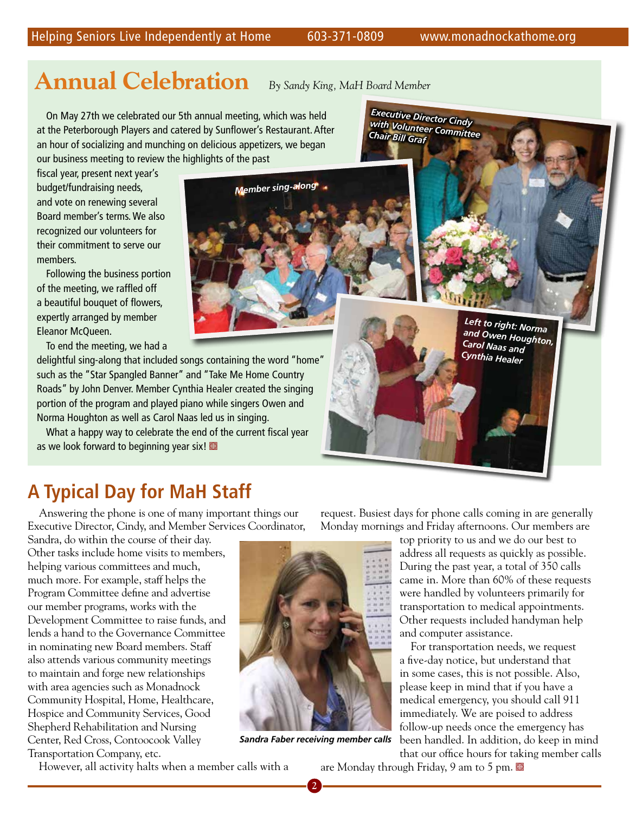# **Annual Celebration** *By Sandy King, MaH Board Member*

*Executive Director Cindy with Volunteer Committee* 

*Chair Bill Graf*

*Member sing-along*

On May 27th we celebrated our 5th annual meeting, which was held at the Peterborough Players and catered by Sunflower's Restaurant. After an hour of socializing and munching on delicious appetizers, we began our business meeting to review the highlights of the past

fiscal year, present next year's budget/fundraising needs, and vote on renewing several Board member's terms. We also recognized our volunteers for their commitment to serve our members.

Following the business portion of the meeting, we raffled off a beautiful bouquet of flowers, expertly arranged by member Eleanor McQueen.

To end the meeting, we had a

delightful sing-along that included songs containing the word "home" such as the "Star Spangled Banner" and "Take Me Home Country Roads" by John Denver. Member Cynthia Healer created the singing portion of the program and played piano while singers Owen and Norma Houghton as well as Carol Naas led us in singing.

What a happy way to celebrate the end of the current fiscal year as we look forward to beginning year six!

# **A Typical Day for MaH Staff**

Answering the phone is one of many important things our Executive Director, Cindy, and Member Services Coordinator,

Sandra, do within the course of their day. Other tasks include home visits to members, helping various committees and much, much more. For example, staff helps the Program Committee define and advertise our member programs, works with the Development Committee to raise funds, and lends a hand to the Governance Committee in nominating new Board members. Staff also attends various community meetings to maintain and forge new relationships with area agencies such as Monadnock Community Hospital, Home, Healthcare, Hospice and Community Services, Good Shepherd Rehabilitation and Nursing Center, Red Cross, Contoocook Valley Transportation Company, etc.



*Sandra Faber receiving member calls*

**2**

request. Busiest days for phone calls coming in are generally Monday mornings and Friday afternoons. Our members are

> top priority to us and we do our best to address all requests as quickly as possible. During the past year, a total of 350 calls came in. More than 60% of these requests were handled by volunteers primarily for transportation to medical appointments. Other requests included handyman help and computer assistance.

For transportation needs, we request a five-day notice, but understand that in some cases, this is not possible. Also, please keep in mind that if you have a medical emergency, you should call 911 immediately. We are poised to address follow-up needs once the emergency has been handled. In addition, do keep in mind that our office hours for taking member calls

However, all activity halts when a member calls with a

are Monday through Friday, 9 am to 5 pm.  $\blacksquare$ 

*Left to right: Norma and Owen Houghton, Carol Naas and Cynthia Healer*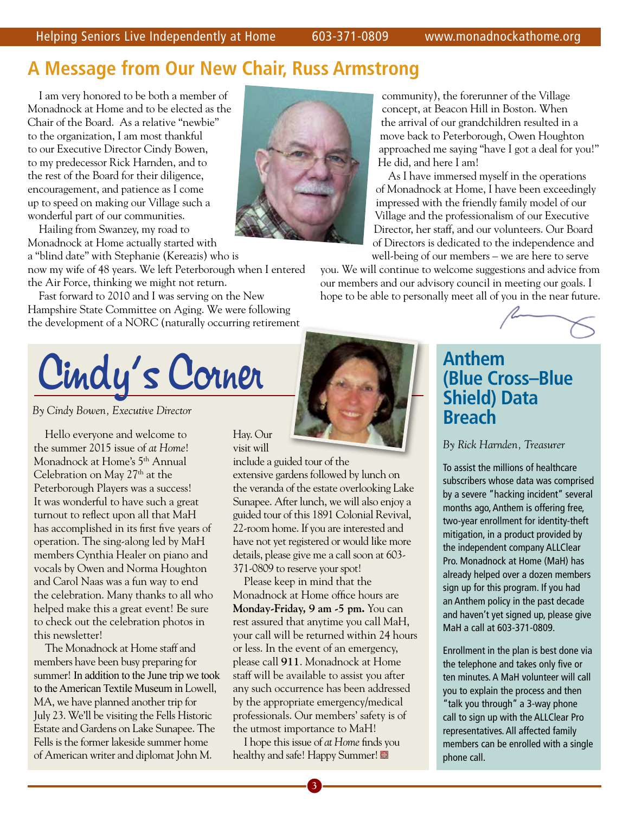# **A Message from Our New Chair, Russ Armstrong**

I am very honored to be both a member of Monadnock at Home and to be elected as the Chair of the Board. As a relative "newbie" to the organization, I am most thankful to our Executive Director Cindy Bowen, to my predecessor Rick Harnden, and to the rest of the Board for their diligence, encouragement, and patience as I come up to speed on making our Village such a wonderful part of our communities.

Hailing from Swanzey, my road to Monadnock at Home actually started with

a "blind date" with Stephanie (Kereazis) who is now my wife of 48 years. We left Peterborough when I entered

the Air Force, thinking we might not return.

Fast forward to 2010 and I was serving on the New Hampshire State Committee on Aging. We were following the development of a NORC (naturally occurring retirement



*By Cindy Bowen, Executive Director* 

Hello everyone and welcome to the summer 2015 issue of *at Home*! Monadnock at Home's 5<sup>th</sup> Annual Celebration on May 27<sup>th</sup> at the Peterborough Players was a success! It was wonderful to have such a great turnout to reflect upon all that MaH has accomplished in its first five years of operation. The sing-along led by MaH members Cynthia Healer on piano and vocals by Owen and Norma Houghton and Carol Naas was a fun way to end the celebration. Many thanks to all who helped make this a great event! Be sure to check out the celebration photos in this newsletter!

The Monadnock at Home staff and members have been busy preparing for summer! In addition to the June trip we took to the American Textile Museum in Lowell, MA, we have planned another trip for July 23. We'll be visiting the Fells Historic Estate and Gardens on Lake Sunapee. The Fells is the former lakeside summer home of American writer and diplomat John M.



community), the forerunner of the Village concept, at Beacon Hill in Boston. When the arrival of our grandchildren resulted in a move back to Peterborough, Owen Houghton approached me saying "have I got a deal for you!" He did, and here I am!

As I have immersed myself in the operations of Monadnock at Home, I have been exceedingly impressed with the friendly family model of our Village and the professionalism of our Executive Director, her staff, and our volunteers. Our Board of Directors is dedicated to the independence and well-being of our members – we are here to serve

you. We will continue to welcome suggestions and advice from our members and our advisory council in meeting our goals. I hope to be able to personally meet all of you in the near future.



# **Anthem (Blue Cross–Blue Shield) Data Breach**

## *By Rick Harnden, Treasurer*

To assist the millions of healthcare subscribers whose data was comprised by a severe "hacking incident" several months ago, Anthem is offering free, two-year enrollment for identity-theft mitigation, in a product provided by the independent company ALLClear Pro. Monadnock at Home (MaH) has already helped over a dozen members sign up for this program. If you had an Anthem policy in the past decade and haven't yet signed up, please give MaH a call at 603-371-0809.

Enrollment in the plan is best done via the telephone and takes only five or ten minutes. A MaH volunteer will call you to explain the process and then "talk you through" a 3-way phone call to sign up with the ALLClear Pro representatives. All affected family members can be enrolled with a single phone call.

## Hay. Our visit will

include a guided tour of the extensive gardens followed by lunch on the veranda of the estate overlooking Lake

Sunapee. After lunch, we will also enjoy a guided tour of this 1891 Colonial Revival, 22-room home. If you are interested and have not yet registered or would like more details, please give me a call soon at 603- 371-0809 to reserve your spot!

Please keep in mind that the Monadnock at Home office hours are **Monday-Friday, 9 am -5 pm.** You can rest assured that anytime you call MaH, your call will be returned within 24 hours or less. In the event of an emergency, please call **911**. Monadnock at Home staff will be available to assist you after any such occurrence has been addressed by the appropriate emergency/medical professionals. Our members' safety is of the utmost importance to MaH!

I hope this issue of *at Home* finds you healthy and safe! Happy Summer!

**3**